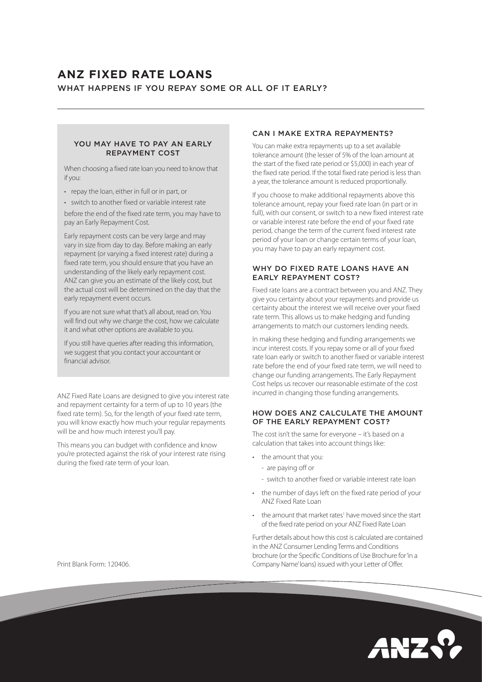# **ANZ FIXED RATE LOANS** WHAT HAPPENS IF YOU REPAY SOME OR ALL OF IT EARLY?

### YOU MAY HAVE TO PAY AN EARLY REPAYMENT COST

When choosing a fixed rate loan you need to know that if you:

- repay the loan, either in full or in part, or
- switch to another fixed or variable interest rate

before the end of the fixed rate term, you may have to pay an Early Repayment Cost.

Early repayment costs can be very large and may vary in size from day to day. Before making an early repayment (or varying a fixed interest rate) during a fixed rate term, you should ensure that you have an understanding of the likely early repayment cost. ANZ can give you an estimate of the likely cost, but the actual cost will be determined on the day that the early repayment event occurs.

If you are not sure what that's all about, read on. You will find out why we charge the cost, how we calculate it and what other options are available to you.

If you still have queries after reading this information, we suggest that you contact your accountant or financial advisor.

ANZ Fixed Rate Loans are designed to give you interest rate and repayment certainty for a term of up to 10 years (the fixed rate term). So, for the length of your fixed rate term, you will know exactly how much your regular repayments will be and how much interest you'll pay.

This means you can budget with confidence and know you're protected against the risk of your interest rate rising during the fixed rate term of your loan.

#### CAN I MAKE EXTRA REPAYMENTS?

You can make extra repayments up to a set available tolerance amount (the lesser of 5% of the loan amount at the start of the fixed rate period or \$5,000) in each year of the fixed rate period. If the total fixed rate period is less than a year, the tolerance amount is reduced proportionally.

If you choose to make additional repayments above this tolerance amount, repay your fixed rate loan (in part or in full), with our consent, or switch to a new fixed interest rate or variable interest rate before the end of your fixed rate period, change the term of the current fixed interest rate period of your loan or change certain terms of your loan, you may have to pay an early repayment cost.

## WHY DO FIXED RATE LOANS HAVE AN EARLY REPAYMENT COST?

Fixed rate loans are a contract between you and ANZ. They give you certainty about your repayments and provide us certainty about the interest we will receive over your fixed rate term. This allows us to make hedging and funding arrangements to match our customers lending needs.

In making these hedging and funding arrangements we incur interest costs. If you repay some or all of your fixed rate loan early or switch to another fixed or variable interest rate before the end of your fixed rate term, we will need to change our funding arrangements. The Early Repayment Cost helps us recover our reasonable estimate of the cost incurred in changing those funding arrangements.

## HOW DOES ANZ CALCULATE THE AMOUNT OF THE EARLY REPAYMENT COST?

The cost isn't the same for everyone – it's based on a calculation that takes into account things like:

- the amount that you:
	- are paying off or
	- switch to another fixed or variable interest rate loan
- the number of days left on the fixed rate period of your ANZ Fixed Rate Loan
- the amount that market rates<sup>1</sup> have moved since the start of the fixed rate period on your ANZ Fixed Rate Loan

Further details about how this cost is calculated are contained in the ANZ Consumer Lending Terms and Conditions brochure (or the Specific Conditions of Use Brochure for 'in a Company Name' loans) issued with your Letter of Offer.



Print Blank Form: 120406.